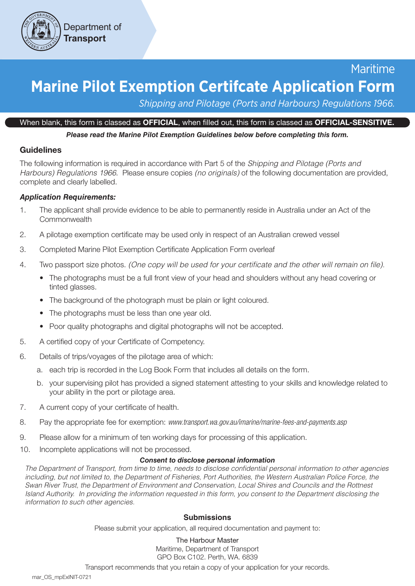

# Maritime **Marine Pilot Exemption Certifcate Application Form**

*Shipping and Pilotage (Ports and Harbours) Regulations 1966.*

#### When blank, this form is classed as OFFICIAL, when filled out, this form is classed as OFFICIAL-SENSITIVE.

*Please read the Marine Pilot Exemption Guidelines below before completing this form.*

# Guidelines

The following information is required in accordance with Part 5 of the *Shipping and Pilotage (Ports and Harbours) Regulations 1966*. Please ensure copies *(no originals)* of the following documentation are provided, complete and clearly labelled.

# *Application Requirements:*

- 1. The applicant shall provide evidence to be able to permanently reside in Australia under an Act of the Commonwealth
- 2. A pilotage exemption certificate may be used only in respect of an Australian crewed vessel
- 3. Completed Marine Pilot Exemption Certificate Application Form overleaf
- 4. Two passport size photos. *(One copy will be used for your certificate and the other will remain on file).*
	- The photographs must be a full front view of your head and shoulders without any head covering or tinted glasses.
	- The background of the photograph must be plain or light coloured.
	- The photographs must be less than one year old.
	- Poor quality photographs and digital photographs will not be accepted.
- 5. A certified copy of your Certificate of Competency.
- 6. Details of trips/voyages of the pilotage area of which:
	- a. each trip is recorded in the Log Book Form that includes all details on the form.
	- b. your supervising pilot has provided a signed statement attesting to your skills and knowledge related to your ability in the port or pilotage area.
- 7. A current copy of your certificate of health.
- 8. Pay the appropriate fee for exemption: *www.transport.wa.gov.au/imarine/marine-fees-and-payments.asp*
- 9. Please allow for a minimum of ten working days for processing of this application.
- 10. Incomplete applications will not be processed.

# *Consent to disclose personal information*

*The Department of Transport, from time to time, needs to disclose confidential personal information to other agencies including, but not limited to, the Department of Fisheries, Port Authorities, the Western Australian Police Force, the Swan River Trust, the Department of Environment and Conservation, Local Shires and Councils and the Rottnest Island Authority. In providing the information requested in this form, you consent to the Department disclosing the information to such other agencies.*

# **Submissions**

Please submit your application, all required documentation and payment to:

#### The Harbour Master

Maritime, Department of Transport GPO Box C102. Perth, WA. 6839

Transport recommends that you retain a copy of your application for your records.

mar\_OS\_mpExINIT-0721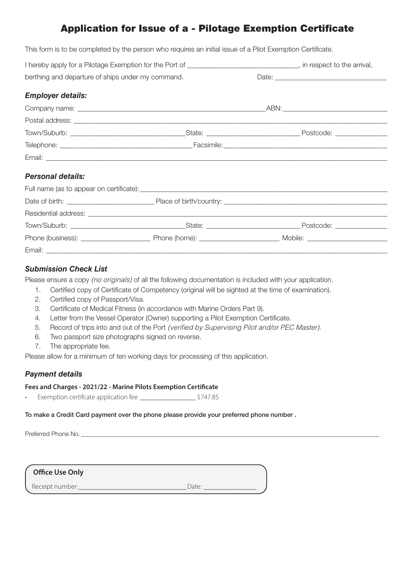# Application for Issue of a - Pilotage Exemption Certificate

This form is to be completed by the person who requires an initial issue of a Pilot Exemption Certificate.

| I hereby apply for a Pilotage Exemption for the Port of _______________________________, in respect to the arrival, |  |  |
|---------------------------------------------------------------------------------------------------------------------|--|--|
| berthing and departure of ships under my command.                                                                   |  |  |
| <b>Employer details:</b>                                                                                            |  |  |
|                                                                                                                     |  |  |
|                                                                                                                     |  |  |
|                                                                                                                     |  |  |
|                                                                                                                     |  |  |
|                                                                                                                     |  |  |
| <b>Personal details:</b>                                                                                            |  |  |
|                                                                                                                     |  |  |
|                                                                                                                     |  |  |
|                                                                                                                     |  |  |
|                                                                                                                     |  |  |
|                                                                                                                     |  |  |

#### *Submission Check List*

Email: \_\_\_\_\_\_\_\_\_\_\_\_\_\_\_\_\_\_\_\_\_\_\_\_\_\_\_\_\_\_\_\_\_\_\_\_\_\_\_\_\_\_\_\_\_\_\_\_\_\_\_\_\_\_\_\_\_\_\_\_\_\_\_\_\_\_\_\_\_\_\_\_\_\_\_\_\_\_\_\_\_\_\_\_\_\_\_\_\_\_\_\_\_\_\_\_\_\_

Please ensure a copy *(no originals)* of all the following documentation is included with your application.

- 1. Certified copy of Certificate of Competency (original will be sighted at the time of examination).
- 2. Certified copy of Passport/Visa.
- 3. Certificate of Medical Fitness (in accordance with Marine Orders Part 9).
- 4. Letter from the Vessel Operator (Owner) supporting a Pilot Exemption Certificate.
- 5. Record of trips into and out of the Port *(verified by Supervising Pilot and/or PEC Master)*.
- 6. Two passport size photographs signed on reverse.
- 7. The appropriate fee.

Please allow for a minimum of ten working days for processing of this application.

# *Payment details*

#### **Fees and Charges - 2021/22 - Marine Pilots Exemption Certificate**

• Exemption certifcate application fee \_\_\_\_\_\_\_\_\_\_\_\_\_\_\_\_ \$747.85

#### To make a Credit Card payment over the phone please provide your preferred phone number .

Preferred Phone No. \_\_\_\_\_\_\_\_\_\_\_\_\_\_\_\_\_\_\_\_\_\_\_\_\_\_\_\_\_\_\_\_\_\_\_\_\_\_\_\_\_\_\_\_\_\_\_\_\_\_\_\_\_\_\_\_\_\_\_\_\_\_\_\_\_\_\_\_\_\_\_\_\_\_\_\_\_\_\_\_\_\_\_\_\_\_\_\_\_\_\_\_\_\_\_

**Office Use Only**

Receipt number:\_\_\_\_\_\_\_\_\_\_\_\_\_\_\_\_\_\_\_\_\_\_\_\_\_\_\_\_\_\_\_Date: \_\_\_\_\_\_\_\_\_\_\_\_\_\_\_